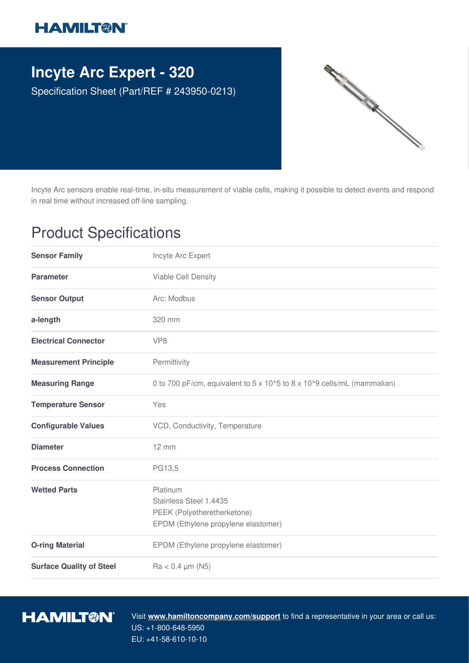## **HAMILT®N**

## **Incyte Arc Expert - 320**

Specification Sheet (Part/REF # 243950-0213)



Incyte Arc sensors enable real-time, in-situ measurement of viable cells, making it possible to detect events and respond in real time without increased off-line sampling.

## Product Specifications

| <b>Sensor Family</b>            | Incyte Arc Expert                                                                                        |
|---------------------------------|----------------------------------------------------------------------------------------------------------|
| <b>Parameter</b>                | Viable Cell Density                                                                                      |
| <b>Sensor Output</b>            | Arc: Modbus                                                                                              |
| a-length                        | 320 mm                                                                                                   |
| <b>Electrical Connector</b>     | VP <sub>8</sub>                                                                                          |
| <b>Measurement Principle</b>    | Permittivity                                                                                             |
| <b>Measuring Range</b>          | 0 to 700 pF/cm, equivalent to 5 x 10^5 to 8 x 10^9 cells/mL (mammalian)                                  |
| <b>Temperature Sensor</b>       | Yes                                                                                                      |
| <b>Configurable Values</b>      | VCD, Conductivity, Temperature                                                                           |
| <b>Diameter</b>                 | $12 \, \text{mm}$                                                                                        |
| <b>Process Connection</b>       | PG13,5                                                                                                   |
| <b>Wetted Parts</b>             | Platinum<br>Stainless Steel 1.4435<br>PEEK (Polyetheretherketone)<br>EPDM (Ethylene propylene elastomer) |
| <b>O-ring Material</b>          | EPDM (Ethylene propylene elastomer)                                                                      |
| <b>Surface Quality of Steel</b> | $Ra < 0.4 \mu m (N5)$                                                                                    |



Visit **www.hamiltoncompany.com/support** to find a representative in your area or call us: US: +1-800-648-5950 EU: +41-58-610-10-10